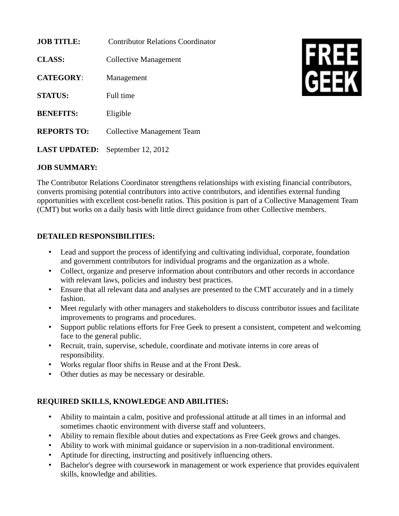| <b>JOB TITLE:</b>    | Contributor Relations Coordinator |
|----------------------|-----------------------------------|
| <b>CLASS:</b>        | Collective Management             |
| <b>CATEGORY:</b>     | Management                        |
| <b>STATUS:</b>       | Full time                         |
| <b>BENEFITS:</b>     | Eligible                          |
| <b>REPORTS TO:</b>   | <b>Collective Management Team</b> |
| <b>LAST UPDATED:</b> | September 12, 2012                |



## **JOB SUMMARY:**

The Contributor Relations Coordinator strengthens relationships with existing financial contributors, converts promising potential contributors into active contributors, and identifies external funding opportunities with excellent cost-benefit ratios. This position is part of a Collective Management Team (CMT) but works on a daily basis with little direct guidance from other Collective members.

## **DETAILED RESPONSIBILITIES:**

- Lead and support the process of identifying and cultivating individual, corporate, foundation and government contributors for individual programs and the organization as a whole.
- Collect, organize and preserve information about contributors and other records in accordance with relevant laws, policies and industry best practices.
- Ensure that all relevant data and analyses are presented to the CMT accurately and in a timely fashion.
- Meet regularly with other managers and stakeholders to discuss contributor issues and facilitate improvements to programs and procedures.
- Support public relations efforts for Free Geek to present a consistent, competent and welcoming face to the general public.
- Recruit, train, supervise, schedule, coordinate and motivate interns in core areas of responsibility.
- Works regular floor shifts in Reuse and at the Front Desk.
- Other duties as may be necessary or desirable.

## **REQUIRED SKILLS, KNOWLEDGE AND ABILITIES:**

- Ability to maintain a calm, positive and professional attitude at all times in an informal and sometimes chaotic environment with diverse staff and volunteers.
- Ability to remain flexible about duties and expectations as Free Geek grows and changes.
- Ability to work with minimal guidance or supervision in a non-traditional environment.
- Aptitude for directing, instructing and positively influencing others.
- Bachelor's degree with coursework in management or work experience that provides equivalent skills, knowledge and abilities.